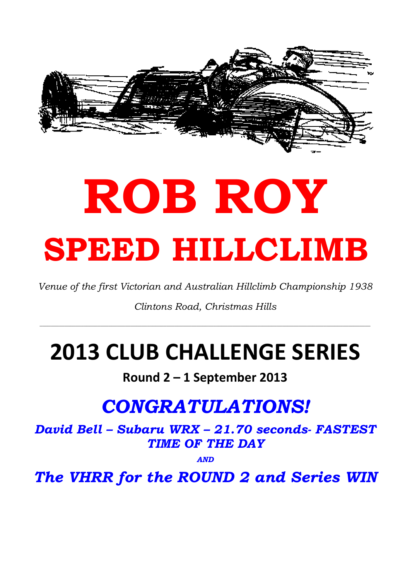

# ROB ROY SPEED HILLCLIMB

Venue of the first Victorian and Australian Hillclimb Championship 1938

Clintons Road, Christmas Hills

\_\_\_\_\_\_\_\_\_\_\_\_\_\_\_\_\_\_\_\_\_\_\_\_\_\_\_\_\_\_\_\_\_\_\_\_\_\_\_\_\_\_\_\_\_\_\_\_\_\_\_\_\_\_\_\_\_\_\_\_\_\_\_\_\_\_\_\_\_\_\_\_\_\_\_\_\_\_\_\_\_\_\_\_\_\_\_\_\_\_\_\_\_\_\_\_\_\_\_\_\_\_\_\_\_\_\_\_\_\_\_\_\_\_\_\_\_\_\_\_

## 2013 CLUB CHALLENGE SERIES

#### Round 2 – 1 September 2013

### CONGRATULATIONS!

David Bell – Subaru WRX – 21.70 seconds- FASTEST TIME OF THE DAY

AND

The VHRR for the ROUND 2 and Series WIN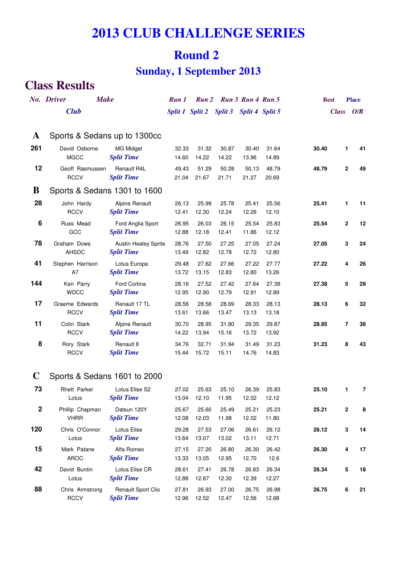#### **2013 CLUB CHALLENGE SERIES**

#### **Round 2**

#### **Sunday, 1 September 2013**

#### **Class Results**

|             | No. Driver<br><b>Make</b>                     |                                                  | Run 1          |                                         |                | Run 2 Run 3 Run 4 Run 5 |                |       | <b>Best</b>    | <b>Place</b> |
|-------------|-----------------------------------------------|--------------------------------------------------|----------------|-----------------------------------------|----------------|-------------------------|----------------|-------|----------------|--------------|
|             | <b>Club</b>                                   |                                                  |                | Split 1 Split 2 Split 3 Split 4 Split 5 |                |                         |                |       | Class O/R      |              |
| A<br>261    | Sports & Sedans up to 1300cc<br>David Osborne | <b>MG Midget</b>                                 | 32.33          | 31.32                                   | 30.87          | 30.40                   | 31.64          | 30.40 | 1              | 41           |
|             | <b>MGCC</b>                                   | <b>Split Time</b>                                | 14.60          | 14.22                                   | 14.22          | 13.96                   | 14.89          |       |                |              |
| 12          | Geoff Rasmussen<br><b>RCCV</b>                | Renault R4L<br><b>Split Time</b>                 | 49.43<br>21.04 | 51.29<br>21.67                          | 50.28<br>21.71 | 50.13<br>21.27          | 48.79<br>20.69 | 48.79 | $\mathbf 2$    | 49           |
| B           | Sports & Sedans 1301 to 1600                  |                                                  |                |                                         |                |                         |                |       |                |              |
| 28          | John Hardy<br><b>RCCV</b>                     | Alpine Renault<br><b>Split Time</b>              | 26.13<br>12.41 | 25.99<br>12.30                          | 25.78<br>12.24 | 25.41<br>12.26          | 25.56<br>12.10 | 25.41 | 1              | 11           |
| 6           | Russ Mead<br>GCC                              | Ford Anglia Sport<br><b>Split Time</b>           | 26.95<br>12.88 | 26.03<br>12.18                          | 26.15<br>12.41 | 25.54<br>11.86          | 25.83<br>12.12 | 25.54 | $\mathbf{2}$   | 12           |
| 78          | Graham Dows<br><b>AHSDC</b>                   | <b>Austin Healey Sprite</b><br><b>Split Time</b> | 28.76<br>13.49 | 27.50<br>12.82                          | 27.25<br>12.78 | 27.05<br>12.72          | 27.24<br>12.80 | 27.05 | 3              | 24           |
| 41          | Stephen Harrison<br>A7                        | Lotus Europa<br><b>Split Time</b>                | 29.48<br>13.72 | 27.62<br>13.15                          | 27.66<br>12.83 | 27.22<br>12.80          | 27.77<br>13.26 | 27.22 | 4              | 26           |
| 144         | Ken Parry<br><b>WDCC</b>                      | Ford Cortina<br><b>Split Time</b>                | 28.16<br>12.95 | 27.52<br>12.90                          | 27.42<br>12.79 | 27.64<br>12.91          | 27.38<br>12.89 | 27.38 | 5              | 29           |
| 17          | Graeme Edwards<br><b>RCCV</b>                 | Renault 17 TL<br><b>Split Time</b>               | 28.56<br>13.61 | 28.58<br>13.66                          | 28.69<br>13.47 | 28.33<br>13.13          | 28.13<br>13.18 | 28.13 | 6              | 32           |
| 11          | Colin Stark<br><b>RCCV</b>                    | <b>Alpine Renault</b><br><b>Split Time</b>       | 30.70<br>14.22 | 28.95<br>13.94                          | 31.80<br>15.16 | 29.35<br>13.72          | 29.87<br>13.92 | 28.95 | $\overline{7}$ | 36           |
| 8           | Rory Stark<br><b>RCCV</b>                     | Renault 8<br><b>Split Time</b>                   | 34.76<br>15.44 | 32.71<br>15.72                          | 31.94<br>15.11 | 31.49<br>14.76          | 31.23<br>14.83 | 31.23 | 8              | 43           |
| $\mathbf C$ | Sports & Sedans 1601 to 2000                  |                                                  |                |                                         |                |                         |                |       |                |              |
| 73          | <b>Rhett Parker</b><br>Lotus                  | Lotus Elise S2<br><b>Split Time</b>              | 27.02<br>13.04 | 25.63<br>12.10                          | 25.10<br>11.95 | 26.39<br>12.02          | 25.83<br>12.12 | 25.10 | 1              | 7            |
| $\mathbf 2$ | Phillip Chapman<br><b>VHRR</b>                | Datsun 120Y<br><b>Split Time</b>                 | 25.67<br>12.08 | 25.60<br>12.03                          | 25.49<br>11.98 | 25.21<br>12.02          | 25.23<br>11.80 | 25.21 | 2              | 8            |
| 120         | Chris O'Connor<br>Lotus                       | Lotus Elise<br><b>Split Time</b>                 | 29.28<br>13.64 | 27.53<br>13.07                          | 27.06<br>13.02 | 26.61<br>13.11          | 26.12<br>12.71 | 26.12 | 3              | 14           |
| 15          | Mark Patane<br>AROC                           | Alfa Romeo<br><b>Split Time</b>                  | 27.15<br>13.33 | 27.20<br>13.05                          | 26.80<br>12.95 | 26.30<br>12.70          | 26.42<br>12.6  | 26.30 | 4              | 17           |
| 42          | David Buntin<br>Lotus                         | Lotus Elise CR<br><b>Split Time</b>              | 28.61<br>12.88 | 27.41<br>12.67                          | 26.78<br>12.30 | 26.83<br>12.39          | 26.34<br>12.27 | 26.34 | 5              | ${\bf 18}$   |
| 88          | Chris Armstrong<br><b>RCCV</b>                | Renault Sport Clio<br><b>Split Time</b>          | 27.81<br>12.96 | 26.93<br>12.52                          | 27.00<br>12.47 | 26.75<br>12.56          | 26.98<br>12.68 | 26.75 | 6              | 21           |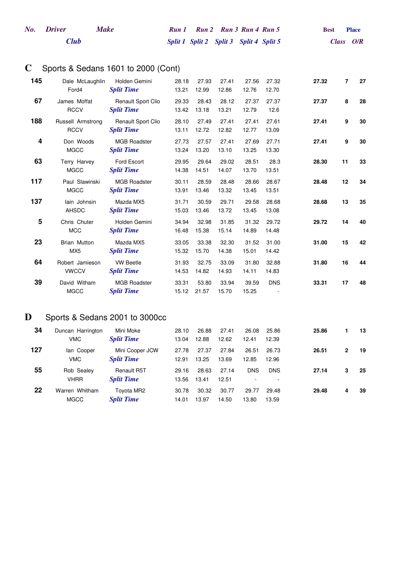| No. Driver | Make | Run 1 Run 2 Run 3 Run 4 Run 5           |  |  | Best | <b>Place</b> |
|------------|------|-----------------------------------------|--|--|------|--------------|
| Club       |      | Split 1 Split 2 Split 3 Split 4 Split 5 |  |  |      | Class $O/R$  |

#### **C** Sports & Sedans 1601 to 2000 (Cont)

| 145 | Dale McLaughlin<br>Ford4               | Holden Gemini<br><b>Split Time</b>             | 28.18<br>13.21 | 27.93<br>12.99 | 27.41<br>12.86 | 27.56<br>12.76 | 27.32<br>12.70 | 27.32 | $\overline{7}$ | 27 |
|-----|----------------------------------------|------------------------------------------------|----------------|----------------|----------------|----------------|----------------|-------|----------------|----|
| 67  | James Moffat<br><b>RCCV</b>            | <b>Renault Sport Clio</b><br><b>Split Time</b> | 29.33<br>13.42 | 28.43<br>13.18 | 28.12<br>13.21 | 27.37<br>12.79 | 27.37<br>12.6  | 27.37 | 8              | 28 |
| 188 | Russell Armstrong<br><b>RCCV</b>       | Renault Sport Clio<br><b>Split Time</b>        | 28.10<br>13.11 | 27.49<br>12.72 | 27.41<br>12.82 | 27.41<br>12.77 | 27.61<br>13.09 | 27.41 | 9              | 30 |
| 4   | Don Woods<br><b>MGCC</b>               | <b>MGB Roadster</b><br><b>Split Time</b>       | 27.73<br>13.24 | 27.57<br>13.20 | 27.41<br>13.10 | 27.69<br>13.25 | 27.71<br>13.30 | 27.41 | 9              | 30 |
| 63  | Terry Harvey<br><b>MGCC</b>            | Ford Escort<br><b>Split Time</b>               | 29.95<br>14.38 | 29.64<br>14.51 | 29.02<br>14.07 | 28.51<br>13.70 | 28.3<br>13.51  | 28.30 | 11             | 33 |
| 117 | Paul Slawinski<br><b>MGCC</b>          | <b>MGB Roadster</b><br><b>Split Time</b>       | 30.11<br>13.91 | 28.59<br>13.46 | 28.48<br>13.32 | 28.66<br>13.45 | 28.67<br>13.51 | 28.48 | 12             | 34 |
| 137 | lain Johnsin<br><b>AHSDC</b>           | Mazda MX5<br><b>Split Time</b>                 | 31.71<br>15.03 | 30.59<br>13.46 | 29.71<br>13.72 | 29.58<br>13.45 | 28.68<br>13.08 | 28.68 | 13             | 35 |
| 5   | Chris Chuter<br><b>MCC</b>             | Holden Gemini<br><b>Split Time</b>             | 34.94<br>16.48 | 32.98<br>15.38 | 31.85<br>15.14 | 31.32<br>14.89 | 29.72<br>14.48 | 29.72 | 14             | 40 |
| 23  | <b>Brian Mutton</b><br>MX <sub>5</sub> | Mazda MX5<br><b>Split Time</b>                 | 33.05<br>15.32 | 33.38<br>15.70 | 32.30<br>14.38 | 31.52<br>15.01 | 31.00<br>14.42 | 31.00 | 15             | 42 |
| 64  | Robert Jamieson<br><b>VWCCV</b>        | <b>VW Beetle</b><br><b>Split Time</b>          | 31.93<br>14.53 | 32.75<br>14.82 | 33.09<br>14.93 | 31.80<br>14.11 | 32.88<br>14.83 | 31.80 | 16             | 44 |
| 39  | David Witham<br><b>MGCC</b>            | <b>MGB Roadster</b><br><b>Split Time</b>       | 33.31<br>15.12 | 53.80<br>21.57 | 33.94<br>15.70 | 39.59<br>15.25 | <b>DNS</b>     | 33.31 | 17             | 48 |

#### **D** Sports & Sedans 2001 to 3000cc

| 34  | Duncan Harrington<br><b>VMC</b> | Mini Moke<br><b>Split Time</b>          | 28.10<br>13.04 | 26.88<br>12.88 | 27.41<br>12.62 | 26.08<br>12.41 | 25.86<br>12.39 | 25.86 |              | 13 |
|-----|---------------------------------|-----------------------------------------|----------------|----------------|----------------|----------------|----------------|-------|--------------|----|
| 127 | lan Cooper<br><b>VMC</b>        | Mini Cooper JCW<br><b>Split Time</b>    | 27.78<br>12.91 | 27.37<br>13.25 | 27.84<br>13.69 | 26.51<br>12.85 | 26.73<br>12.96 | 26.51 | $\mathbf{2}$ | 19 |
| 55  | Rob Sealey<br><b>VHRR</b>       | <b>Renault R5T</b><br><b>Split Time</b> | 29.16<br>13.56 | 28.63<br>13.41 | 27.14<br>12.51 | <b>DNS</b>     | <b>DNS</b>     | 27.14 | 3            | 25 |
| 22  | Warren Whitham<br><b>MGCC</b>   | Toyota MR2<br><b>Split Time</b>         | 30.78<br>14.01 | 30.32<br>13.97 | 30.77<br>14.50 | 29.77<br>13.80 | 29.48<br>13.59 | 29.48 | 4            | 39 |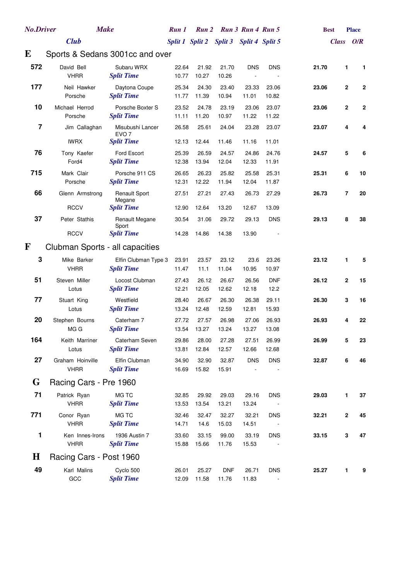| <b>No.Driver</b>        | <b>Make</b>                     |                                           | Run 1          | <b>Run 2</b>    |                     | Run 3 Run 4 Run 5 |                    |       | <b>Best</b> | <b>Place</b>               |  |
|-------------------------|---------------------------------|-------------------------------------------|----------------|-----------------|---------------------|-------------------|--------------------|-------|-------------|----------------------------|--|
|                         | <b>Club</b>                     |                                           |                | Split 1 Split 2 | <b>Split 3</b>      | Split 4 Split 5   |                    |       |             | Class O/R                  |  |
| E                       | Sports & Sedans 3001cc and over |                                           |                |                 |                     |                   |                    |       |             |                            |  |
| 572                     | David Bell<br><b>VHRR</b>       | Subaru WRX<br><b>Split Time</b>           | 22.64<br>10.77 | 21.92<br>10.27  | 21.70<br>10.26      | <b>DNS</b>        | <b>DNS</b>         | 21.70 |             | 1<br>1                     |  |
| 177                     | Neil Hawker<br>Porsche          | Daytona Coupe<br><b>Split Time</b>        | 25.34<br>11.77 | 24.30<br>11.39  | 23.40<br>10.94      | 23.33<br>11.01    | 23.06<br>10.82     | 23.06 |             | 2<br>$\mathbf 2$           |  |
| 10                      | Michael Herrod<br>Porsche       | Porsche Boxter S<br><b>Split Time</b>     | 23.52<br>11.11 | 24.78<br>11.20  | 23.19<br>10.97      | 23.06<br>11.22    | 23.07<br>11.22     | 23.06 |             | $\mathbf 2$<br>$\mathbf 2$ |  |
| $\overline{\mathbf{z}}$ | Jim Callaghan                   | Misubushi Lancer<br>EVO <sub>7</sub>      | 26.58          | 25.61           | 24.04               | 23.28             | 23.07              | 23.07 |             | 4<br>4                     |  |
|                         | <b>IWRX</b>                     | <b>Split Time</b>                         | 12.13          | 12.44           | 11.46               | 11.16             | 11.01              |       |             |                            |  |
| 76                      | Tony Kaefer<br>Ford4            | Ford Escort<br><b>Split Time</b>          | 25.39<br>12.38 | 26.59<br>13.94  | 24.57<br>12.04      | 24.86<br>12.33    | 24.76<br>11.91     | 24.57 |             | 5<br>6                     |  |
| 715                     | Mark Clair                      | Porsche 911 CS                            | 26.65          | 26.23           | 25.82               | 25.58             | 25.31              | 25.31 |             | 6<br>10                    |  |
|                         | Porsche                         | <b>Split Time</b>                         | 12.31          | 12.22           | 11.94               | 12.04             | 11.87              |       |             |                            |  |
| 66                      | Glenn Armstrong                 | <b>Renault Sport</b><br>Megane            | 27.51          | 27.21           | 27.43               | 26.73             | 27.29              | 26.73 |             | 20<br>7                    |  |
|                         | <b>RCCV</b>                     | <b>Split Time</b>                         | 12.90          | 12.64           | 13.20               | 12.67             | 13.09              |       |             |                            |  |
| 37                      | Peter Stathis                   | Renault Megane<br>Sport                   | 30.54          | 31.06           | 29.72               | 29.13             | <b>DNS</b>         | 29.13 |             | 8<br>38                    |  |
|                         | <b>RCCV</b>                     | <b>Split Time</b>                         | 14.28          | 14.86           | 14.38               | 13.90             |                    |       |             |                            |  |
| ${\bf F}$               | Clubman Sports - all capacities |                                           |                |                 |                     |                   |                    |       |             |                            |  |
| 3                       | Mike Barker<br><b>VHRR</b>      | Elfin Clubman Type 3<br><b>Split Time</b> | 23.91<br>11.47 | 23.57<br>11.1   | 23.12<br>11.04      | 23.6<br>10.95     | 23.26<br>10.97     | 23.12 |             | 1<br>5                     |  |
| 51                      | Steven Miller<br>Lotus          | Locost Clubman<br><b>Split Time</b>       | 27.43<br>12.21 | 26.12<br>12.05  | 26.67<br>12.62      | 26.56<br>12.18    | <b>DNF</b><br>12.2 | 26.12 |             | 2<br>15                    |  |
| 77                      | Stuart King<br>Lotus            | Westfield<br><b>Split Time</b>            | 28.40<br>13.24 | 26.67<br>12.48  | 26.30<br>12.59      | 26.38<br>12.81    | 29.11<br>15.93     | 26.30 |             | 3<br>16                    |  |
| 20                      | Stephen Bourns<br>MG G          | Caterham 7<br><b>Split Time</b>           | 27.72<br>13.54 | 27.57<br>13.27  | 26.98<br>13.24      | 27.06<br>13.27    | 26.93<br>13.08     | 26.93 |             | 22<br>4                    |  |
| 164                     | Keith Marriner<br>Lotus         | Caterham Seven<br><b>Split Time</b>       | 29.86<br>13.81 | 28.00<br>12.84  | 27.28<br>12.57      | 27.51<br>12.66    | 26.99<br>12.68     | 26.99 |             | 5<br>23                    |  |
| 27                      | Graham Hoinville<br><b>VHRR</b> | Elfin Clubman<br><b>Split Time</b>        | 34.90<br>16.69 | 32.90<br>15.82  | 32.87<br>15.91      | <b>DNS</b>        | <b>DNS</b>         | 32.87 |             | 6<br>46                    |  |
| G                       | Racing Cars - Pre 1960          |                                           |                |                 |                     |                   |                    |       |             |                            |  |
| 71                      | Patrick Ryan<br><b>VHRR</b>     | MG TC<br><b>Split Time</b>                | 32.85<br>13.53 | 29.92<br>13.54  | 29.03<br>13.21      | 29.16<br>13.24    | <b>DNS</b>         | 29.03 |             | 1<br>37                    |  |
| 771                     | Conor Ryan<br><b>VHRR</b>       | MG TC<br><b>Split Time</b>                | 32.46<br>14.71 | 32.47<br>14.6   | 32.27<br>15.03      | 32.21<br>14.51    | <b>DNS</b>         | 32.21 |             | 45<br>2                    |  |
| 1                       | Ken Innes-Irons<br><b>VHRR</b>  | 1936 Austin 7<br><b>Split Time</b>        | 33.60<br>15.88 | 33.15<br>15.66  | 99.00<br>11.76      | 33.19<br>15.53    | <b>DNS</b>         | 33.15 |             | 3<br>47                    |  |
| $\bf H$                 | Racing Cars - Post 1960         |                                           |                |                 |                     |                   |                    |       |             |                            |  |
| 49                      | Karl Malins<br>GCC              | Cyclo 500<br><b>Split Time</b>            | 26.01<br>12.09 | 25.27<br>11.58  | <b>DNF</b><br>11.76 | 26.71<br>11.83    | <b>DNS</b>         | 25.27 |             | 9<br>1                     |  |